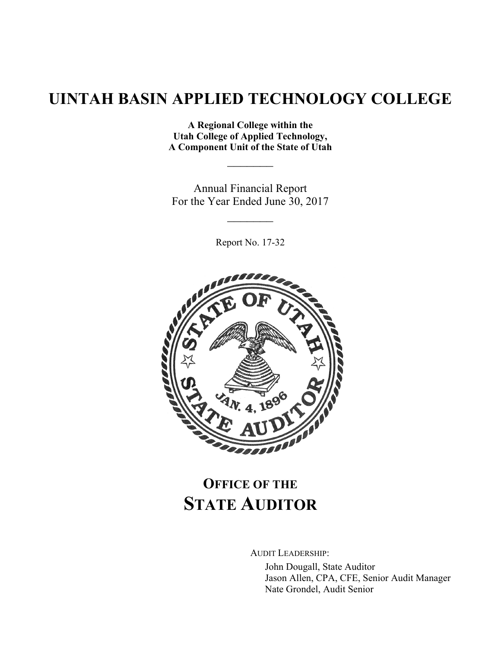**A Regional College within the Utah College of Applied Technology, A Component Unit of the State of Utah**

 $\frac{1}{2}$ 

Annual Financial Report For the Year Ended June 30, 2017

 $\frac{1}{2}$ 

Report No. 17-32



# **OFFICE OF THE STATE AUDITOR**

AUDIT LEADERSHIP:

John Dougall, State Auditor Jason Allen, CPA, CFE, Senior Audit Manager Nate Grondel, Audit Senior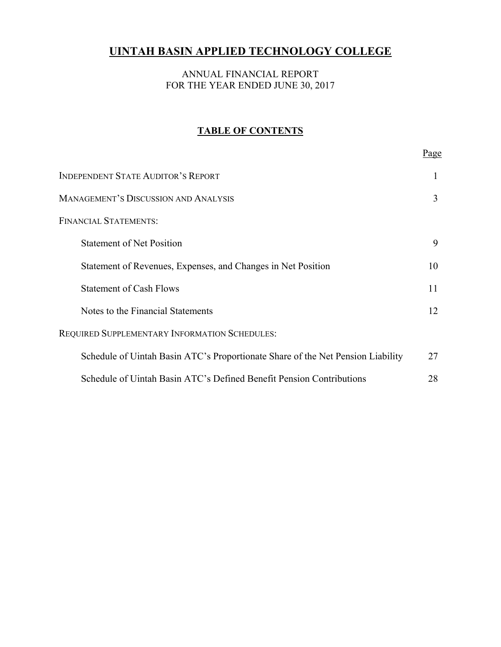### ANNUAL FINANCIAL REPORT FOR THE YEAR ENDED JUNE 30, 2017

### **TABLE OF CONTENTS**

|                                                                                 | Page |
|---------------------------------------------------------------------------------|------|
| <b>INDEPENDENT STATE AUDITOR'S REPORT</b>                                       |      |
| <b>MANAGEMENT'S DISCUSSION AND ANALYSIS</b>                                     | 3    |
| <b>FINANCIAL STATEMENTS:</b>                                                    |      |
| <b>Statement of Net Position</b>                                                | 9    |
| Statement of Revenues, Expenses, and Changes in Net Position                    | 10   |
| <b>Statement of Cash Flows</b>                                                  | 11   |
| Notes to the Financial Statements                                               | 12   |
| REQUIRED SUPPLEMENTARY INFORMATION SCHEDULES:                                   |      |
| Schedule of Uintah Basin ATC's Proportionate Share of the Net Pension Liability | 27   |
| Schedule of Uintah Basin ATC's Defined Benefit Pension Contributions            | 28   |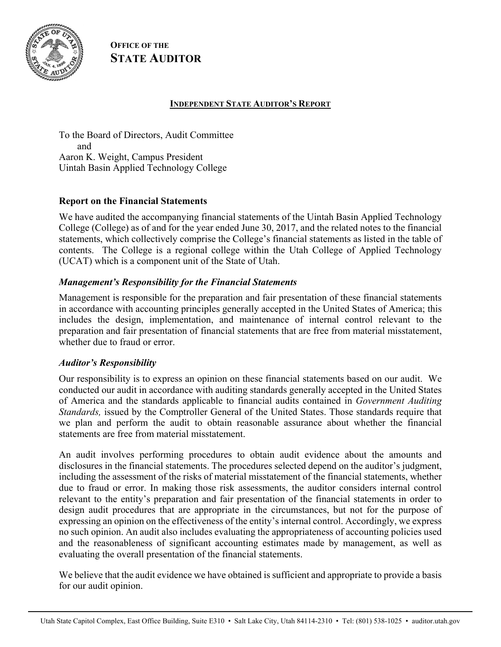

**OFFICE OF THE STATE AUDITOR**

### **INDEPENDENT STATE AUDITOR'S REPORT**

To the Board of Directors, Audit Committee and Aaron K. Weight, Campus President Uintah Basin Applied Technology College

### **Report on the Financial Statements**

We have audited the accompanying financial statements of the Uintah Basin Applied Technology College (College) as of and for the year ended June 30, 2017, and the related notes to the financial statements, which collectively comprise the College's financial statements as listed in the table of contents. The College is a regional college within the Utah College of Applied Technology (UCAT) which is a component unit of the State of Utah.

### *Management's Responsibility for the Financial Statements*

Management is responsible for the preparation and fair presentation of these financial statements in accordance with accounting principles generally accepted in the United States of America; this includes the design, implementation, and maintenance of internal control relevant to the preparation and fair presentation of financial statements that are free from material misstatement, whether due to fraud or error.

#### *Auditor's Responsibility*

Our responsibility is to express an opinion on these financial statements based on our audit. We conducted our audit in accordance with auditing standards generally accepted in the United States of America and the standards applicable to financial audits contained in *Government Auditing Standards,* issued by the Comptroller General of the United States. Those standards require that we plan and perform the audit to obtain reasonable assurance about whether the financial statements are free from material misstatement.

An audit involves performing procedures to obtain audit evidence about the amounts and disclosures in the financial statements. The procedures selected depend on the auditor's judgment, including the assessment of the risks of material misstatement of the financial statements, whether due to fraud or error. In making those risk assessments, the auditor considers internal control relevant to the entity's preparation and fair presentation of the financial statements in order to design audit procedures that are appropriate in the circumstances, but not for the purpose of expressing an opinion on the effectiveness of the entity's internal control. Accordingly, we express no such opinion. An audit also includes evaluating the appropriateness of accounting policies used and the reasonableness of significant accounting estimates made by management, as well as evaluating the overall presentation of the financial statements.

We believe that the audit evidence we have obtained is sufficient and appropriate to provide a basis for our audit opinion.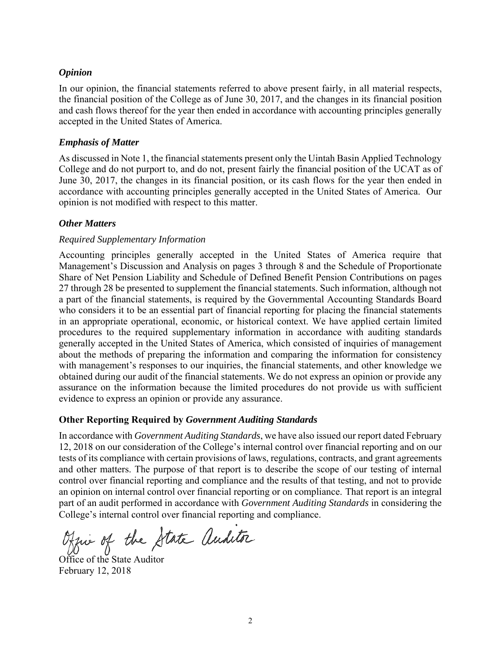#### *Opinion*

In our opinion, the financial statements referred to above present fairly, in all material respects, the financial position of the College as of June 30, 2017, and the changes in its financial position and cash flows thereof for the year then ended in accordance with accounting principles generally accepted in the United States of America.

#### *Emphasis of Matter*

As discussed in Note 1, the financial statements present only the Uintah Basin Applied Technology College and do not purport to, and do not, present fairly the financial position of the UCAT as of June 30, 2017, the changes in its financial position, or its cash flows for the year then ended in accordance with accounting principles generally accepted in the United States of America. Our opinion is not modified with respect to this matter.

#### *Other Matters*

#### *Required Supplementary Information*

Accounting principles generally accepted in the United States of America require that Management's Discussion and Analysis on pages 3 through 8 and the Schedule of Proportionate Share of Net Pension Liability and Schedule of Defined Benefit Pension Contributions on pages 27 through 28 be presented to supplement the financial statements. Such information, although not a part of the financial statements, is required by the Governmental Accounting Standards Board who considers it to be an essential part of financial reporting for placing the financial statements in an appropriate operational, economic, or historical context. We have applied certain limited procedures to the required supplementary information in accordance with auditing standards generally accepted in the United States of America, which consisted of inquiries of management about the methods of preparing the information and comparing the information for consistency with management's responses to our inquiries, the financial statements, and other knowledge we obtained during our audit of the financial statements. We do not express an opinion or provide any assurance on the information because the limited procedures do not provide us with sufficient evidence to express an opinion or provide any assurance.

#### **Other Reporting Required by** *Government Auditing Standards*

In accordance with *Government Auditing Standards*, we have also issued our report dated February 12, 2018 on our consideration of the College's internal control over financial reporting and on our tests of its compliance with certain provisions of laws, regulations, contracts, and grant agreements and other matters. The purpose of that report is to describe the scope of our testing of internal control over financial reporting and compliance and the results of that testing, and not to provide an opinion on internal control over financial reporting or on compliance. That report is an integral part of an audit performed in accordance with *Government Auditing Standards* in considering the College's internal control over financial reporting and compliance.

Office of the State Auditor

February 12, 2018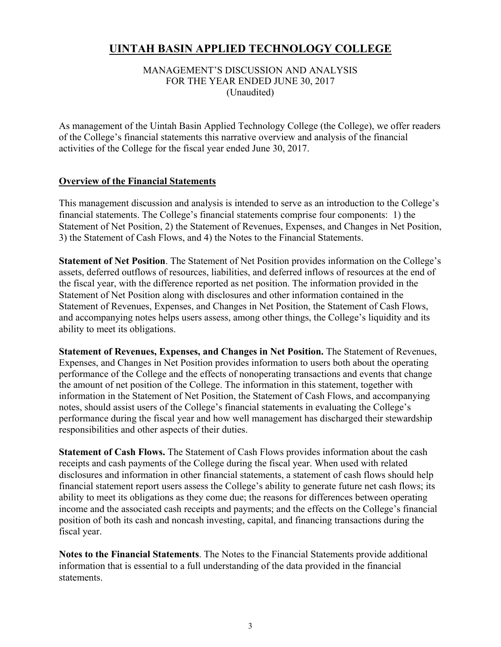MANAGEMENT'S DISCUSSION AND ANALYSIS FOR THE YEAR ENDED JUNE 30, 2017 (Unaudited)

As management of the Uintah Basin Applied Technology College (the College), we offer readers of the College's financial statements this narrative overview and analysis of the financial activities of the College for the fiscal year ended June 30, 2017.

#### **Overview of the Financial Statements**

This management discussion and analysis is intended to serve as an introduction to the College's financial statements. The College's financial statements comprise four components: 1) the Statement of Net Position, 2) the Statement of Revenues, Expenses, and Changes in Net Position, 3) the Statement of Cash Flows, and 4) the Notes to the Financial Statements.

**Statement of Net Position**. The Statement of Net Position provides information on the College's assets, deferred outflows of resources, liabilities, and deferred inflows of resources at the end of the fiscal year, with the difference reported as net position. The information provided in the Statement of Net Position along with disclosures and other information contained in the Statement of Revenues, Expenses, and Changes in Net Position, the Statement of Cash Flows, and accompanying notes helps users assess, among other things, the College's liquidity and its ability to meet its obligations.

**Statement of Revenues, Expenses, and Changes in Net Position.** The Statement of Revenues, Expenses, and Changes in Net Position provides information to users both about the operating performance of the College and the effects of nonoperating transactions and events that change the amount of net position of the College. The information in this statement, together with information in the Statement of Net Position, the Statement of Cash Flows, and accompanying notes, should assist users of the College's financial statements in evaluating the College's performance during the fiscal year and how well management has discharged their stewardship responsibilities and other aspects of their duties.

**Statement of Cash Flows.** The Statement of Cash Flows provides information about the cash receipts and cash payments of the College during the fiscal year. When used with related disclosures and information in other financial statements, a statement of cash flows should help financial statement report users assess the College's ability to generate future net cash flows; its ability to meet its obligations as they come due; the reasons for differences between operating income and the associated cash receipts and payments; and the effects on the College's financial position of both its cash and noncash investing, capital, and financing transactions during the fiscal year.

**Notes to the Financial Statements**. The Notes to the Financial Statements provide additional information that is essential to a full understanding of the data provided in the financial statements.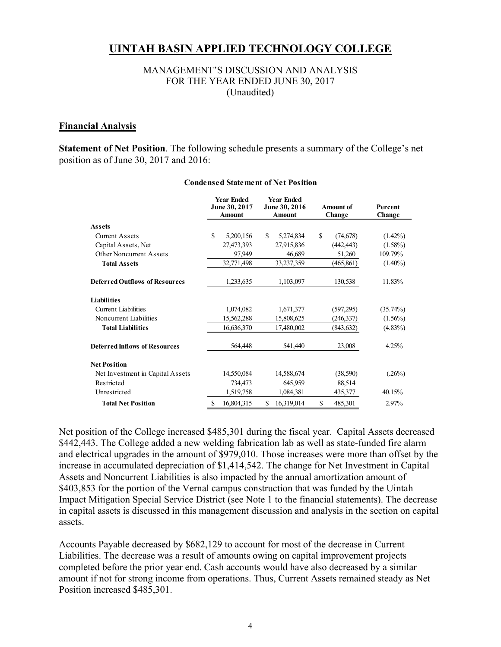#### MANAGEMENT'S DISCUSSION AND ANALYSIS FOR THE YEAR ENDED JUNE 30, 2017 (Unaudited)

#### **Financial Analysis**

**Statement of Net Position**. The following schedule presents a summary of the College's net position as of June 30, 2017 and 2016:

|                                       |    | Year Ended<br>June 30, 2017<br><b>Amount</b> |    | <b>Year Ended</b><br>June 30, 2016<br><b>Amount</b> | <b>Amount of</b><br>Change | Percent<br>Change |
|---------------------------------------|----|----------------------------------------------|----|-----------------------------------------------------|----------------------------|-------------------|
| <b>Assets</b>                         |    |                                              |    |                                                     |                            |                   |
| <b>Current Assets</b>                 | S  | 5,200,156                                    | S  | 5,274,834                                           | \$<br>(74, 678)            | $(1.42\%)$        |
| Capital Assets, Net                   |    | 27,473,393                                   |    | 27,915,836                                          | (442, 443)                 | $(1.58\%)$        |
| Other Noncurrent Assets               |    | 97,949                                       |    | 46,689                                              | 51,260                     | 109.79%           |
| <b>Total Assets</b>                   |    | 32,771,498                                   |    | 33,237,359                                          | (465, 861)                 | $(1.40\%)$        |
| <b>Deferred Outflows of Resources</b> |    | 1,233,635                                    |    | 1,103,097                                           | 130,538                    | 11.83%            |
| <b>Liabilities</b>                    |    |                                              |    |                                                     |                            |                   |
| <b>Current Liabilities</b>            |    | 1,074,082                                    |    | 1,671,377                                           | (597,295)                  | $(35.74\%)$       |
| Noncurrent Liabilities                |    | 15,562,288                                   |    | 15,808,625                                          | (246, 337)                 | $(1.56\%)$        |
| <b>Total Liabilities</b>              |    | 16,636,370                                   |    | 17,480,002                                          | (843, 632)                 | $(4.83\%)$        |
| <b>Deferred Inflows of Resources</b>  |    | 564,448                                      |    | 541,440                                             | 23,008                     | 4.25%             |
| <b>Net Position</b>                   |    |                                              |    |                                                     |                            |                   |
| Net Investment in Capital Assets      |    | 14,550,084                                   |    | 14,588,674                                          | (38, 590)                  | (.26%)            |
| Restricted                            |    | 734,473                                      |    | 645,959                                             | 88,514                     |                   |
| Unrestricted                          |    | 1,519,758                                    |    | 1,084,381                                           | 435,377                    | 40.15%            |
| <b>Total Net Position</b>             | \$ | 16,804,315                                   | \$ | 16,319,014                                          | \$<br>485,301              | 2.97%             |

#### **Condensed Statement of Net Position**

Net position of the College increased \$485,301 during the fiscal year. Capital Assets decreased \$442,443. The College added a new welding fabrication lab as well as state-funded fire alarm and electrical upgrades in the amount of \$979,010. Those increases were more than offset by the increase in accumulated depreciation of \$1,414,542. The change for Net Investment in Capital Assets and Noncurrent Liabilities is also impacted by the annual amortization amount of \$403,853 for the portion of the Vernal campus construction that was funded by the Uintah Impact Mitigation Special Service District (see Note 1 to the financial statements). The decrease in capital assets is discussed in this management discussion and analysis in the section on capital assets.

Accounts Payable decreased by \$682,129 to account for most of the decrease in Current Liabilities. The decrease was a result of amounts owing on capital improvement projects completed before the prior year end. Cash accounts would have also decreased by a similar amount if not for strong income from operations. Thus, Current Assets remained steady as Net Position increased \$485,301.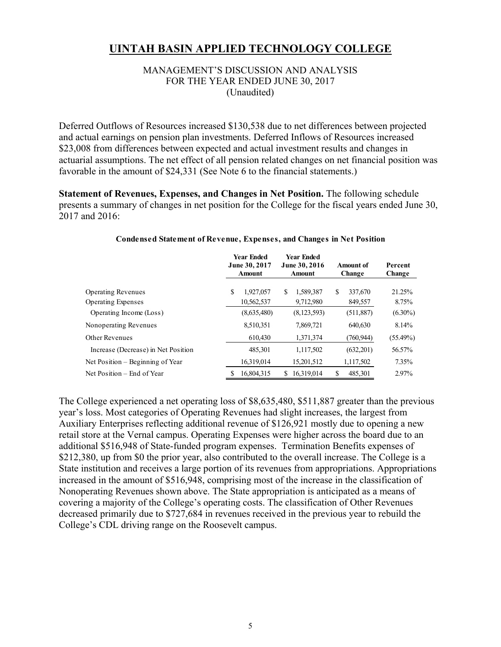#### MANAGEMENT'S DISCUSSION AND ANALYSIS FOR THE YEAR ENDED JUNE 30, 2017 (Unaudited)

Deferred Outflows of Resources increased \$130,538 due to net differences between projected and actual earnings on pension plan investments. Deferred Inflows of Resources increased \$23,008 from differences between expected and actual investment results and changes in actuarial assumptions. The net effect of all pension related changes on net financial position was favorable in the amount of \$24,331 (See Note 6 to the financial statements.)

**Statement of Revenues, Expenses, and Changes in Net Position.** The following schedule presents a summary of changes in net position for the College for the fiscal years ended June 30, 2017 and 2016:

|                                     | <b>Year Ended</b><br>June 30, 2017<br><b>Amount</b> |    | <b>Year Ended</b><br><b>June 30, 2016</b><br><b>Amount</b> |    | <b>Amount of</b><br>Change | Percent<br>Change |
|-------------------------------------|-----------------------------------------------------|----|------------------------------------------------------------|----|----------------------------|-------------------|
| <b>Operating Revenues</b>           | \$<br>1.927.057                                     | S  | 1.589.387                                                  | S  | 337,670                    | 21.25%            |
| Operating Expenses                  | 10,562,537                                          |    | 9,712,980                                                  |    | 849,557                    | 8.75%             |
| Operating Income (Loss)             | (8,635,480)                                         |    | (8, 123, 593)                                              |    | (511, 887)                 | $(6.30\%)$        |
| Nonoperating Revenues               | 8,510,351                                           |    | 7,869,721                                                  |    | 640,630                    | 8.14%             |
| Other Revenues                      | 610,430                                             |    | 1,371,374                                                  |    | (760, 944)                 | $(55.49\%)$       |
| Increase (Decrease) in Net Position | 485,301                                             |    | 1,117,502                                                  |    | (632,201)                  | 56.57%            |
| Net Position – Beginning of Year    | 16,319,014                                          |    | 15,201,512                                                 |    | 1,117,502                  | 7.35%             |
| Net Position – End of Year          | 16,804,315                                          | S. | 16.319.014                                                 | \$ | 485,301                    | 2.97%             |

#### **Condensed Statement of Revenue, Expenses, and Changes in Net Position**

The College experienced a net operating loss of \$8,635,480, \$511,887 greater than the previous year's loss. Most categories of Operating Revenues had slight increases, the largest from Auxiliary Enterprises reflecting additional revenue of \$126,921 mostly due to opening a new retail store at the Vernal campus. Operating Expenses were higher across the board due to an additional \$516,948 of State-funded program expenses. Termination Benefits expenses of \$212,380, up from \$0 the prior year, also contributed to the overall increase. The College is a State institution and receives a large portion of its revenues from appropriations. Appropriations increased in the amount of \$516,948, comprising most of the increase in the classification of Nonoperating Revenues shown above. The State appropriation is anticipated as a means of covering a majority of the College's operating costs. The classification of Other Revenues decreased primarily due to \$727,684 in revenues received in the previous year to rebuild the College's CDL driving range on the Roosevelt campus.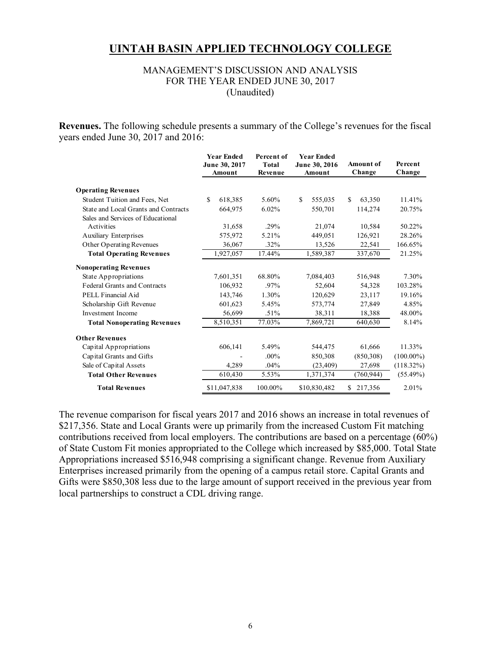#### MANAGEMENT'S DISCUSSION AND ANALYSIS FOR THE YEAR ENDED JUNE 30, 2017 (Unaudited)

**Revenues.** The following schedule presents a summary of the College's revenues for the fiscal years ended June 30, 2017 and 2016:

|                                      | <b>Year Ended</b><br>June 30, 2017<br>Amount | Percent of<br><b>Total</b><br>Revenue | <b>Year Ended</b><br>June 30, 2016<br>Amount | <b>Amount of</b><br>Change | Percent<br>Change |
|--------------------------------------|----------------------------------------------|---------------------------------------|----------------------------------------------|----------------------------|-------------------|
| <b>Operating Revenues</b>            |                                              |                                       |                                              |                            |                   |
| Student Tuition and Fees, Net        | \$<br>618,385                                | 5.60%                                 | \$<br>555,035                                | \$<br>63,350               | 11.41%            |
| State and Local Grants and Contracts | 664,975                                      | 6.02%                                 | 550,701                                      | 114,274                    | 20.75%            |
| Sales and Services of Educational    |                                              |                                       |                                              |                            |                   |
| Activities                           | 31,658                                       | .29%                                  | 21,074                                       | 10,584                     | 50.22%            |
| Auxiliary Enterprises                | 575,972                                      | 5.21%                                 | 449,051                                      | 126,921                    | 28.26%            |
| Other Operating Revenues             | 36,067                                       | .32%                                  | 13,526                                       | 22,541                     | 166.65%           |
| <b>Total Operating Revenues</b>      | 1,927,057                                    | 17.44%                                | 1,589,387                                    | 337,670                    | 21.25%            |
| <b>Nonoperating Revenues</b>         |                                              |                                       |                                              |                            |                   |
| State Appropriations                 | 7,601,351                                    | 68.80%                                | 7,084,403                                    | 516,948                    | 7.30%             |
| Federal Grants and Contracts         | 106,932                                      | .97%                                  | 52,604                                       | 54,328                     | 103.28%           |
| PELL Financial Aid                   | 143,746                                      | 1.30%                                 | 120,629                                      | 23,117                     | 19.16%            |
| Scholarship Gift Revenue             | 601,623                                      | 5.45%                                 | 573,774                                      | 27,849                     | 4.85%             |
| Investment Income                    | 56,699                                       | $.51\%$                               | 38,311                                       | 18,388                     | 48.00%            |
| <b>Total Nonoperating Revenues</b>   | 8,510,351                                    | 77.03%                                | 7,869,721                                    | 640,630                    | 8.14%             |
| <b>Other Revenues</b>                |                                              |                                       |                                              |                            |                   |
| Capital Appropriations               | 606,141                                      | 5.49%                                 | 544,475                                      | 61,666                     | 11.33%            |
| Capital Grants and Gifts             |                                              | $.00\%$                               | 850,308                                      | (850,308)                  | $(100.00\%)$      |
| Sale of Capital Assets               | 4,289                                        | .04%                                  | (23, 409)                                    | 27,698                     | (118.32%)         |
| <b>Total Other Revenues</b>          | 610,430                                      | 5.53%                                 | 1,371,374                                    | (760, 944)                 | $(55.49\%)$       |
| <b>Total Revenues</b>                | \$11,047,838                                 | 100.00%                               | \$10,830,482                                 | 217,356<br>\$              | 2.01%             |

The revenue comparison for fiscal years 2017 and 2016 shows an increase in total revenues of \$217,356. State and Local Grants were up primarily from the increased Custom Fit matching contributions received from local employers. The contributions are based on a percentage (60%) of State Custom Fit monies appropriated to the College which increased by \$85,000. Total State Appropriations increased \$516,948 comprising a significant change. Revenue from Auxiliary Enterprises increased primarily from the opening of a campus retail store. Capital Grants and Gifts were \$850,308 less due to the large amount of support received in the previous year from local partnerships to construct a CDL driving range.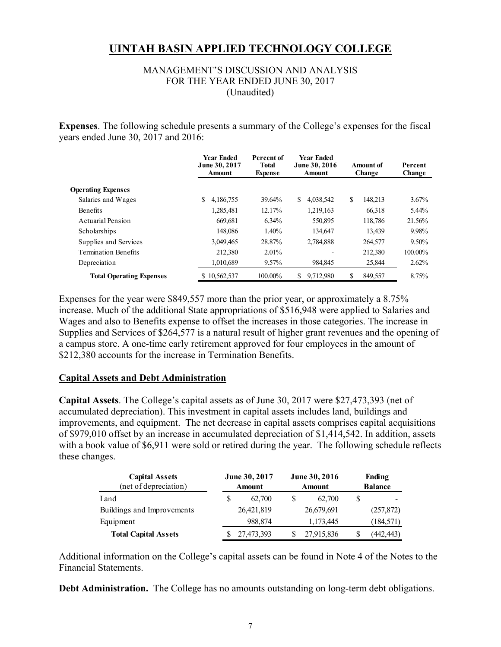#### MANAGEMENT'S DISCUSSION AND ANALYSIS FOR THE YEAR ENDED JUNE 30, 2017 (Unaudited)

**Expenses**. The following schedule presents a summary of the College's expenses for the fiscal years ended June 30, 2017 and 2016:

|                                 | <b>Year Ended</b><br>June 30, 2017<br><b>Amount</b> | <b>Percent of</b><br><b>Total</b><br><b>Expense</b> | Year Ended<br>June 30, 2016<br><b>Amount</b> | Amount of<br>Change | Percent<br>Change |
|---------------------------------|-----------------------------------------------------|-----------------------------------------------------|----------------------------------------------|---------------------|-------------------|
| <b>Operating Expenses</b>       |                                                     |                                                     |                                              |                     |                   |
| Salaries and Wages              | \$<br>4,186,755                                     | 39.64%                                              | \$<br>4,038,542                              | S.<br>148,213       | 3.67%             |
| <b>Benefits</b>                 | 1,285,481                                           | 12.17%                                              | 1,219,163                                    | 66,318              | 5.44%             |
| Actuarial Pension               | 669,681                                             | $6.34\%$                                            | 550,895                                      | 118,786             | 21.56%            |
| Scholarships                    | 148,086                                             | 1.40%                                               | 134,647                                      | 13.439              | 9.98%             |
| Supplies and Services           | 3,049,465                                           | 28.87%                                              | 2,784,888                                    | 264,577             | 9.50%             |
| <b>Termination Benefits</b>     | 212,380                                             | $2.01\%$                                            |                                              | 212,380             | 100.00%           |
| Depreciation                    | 1,010,689                                           | 9.57%                                               | 984,845                                      | 25,844              | 2.62%             |
| <b>Total Operating Expenses</b> | \$10,562,537                                        | 100.00%                                             | \$<br>9.712.980                              | \$<br>849,557       | 8.75%             |

Expenses for the year were \$849,557 more than the prior year, or approximately a 8.75% increase. Much of the additional State appropriations of \$516,948 were applied to Salaries and Wages and also to Benefits expense to offset the increases in those categories. The increase in Supplies and Services of \$264,577 is a natural result of higher grant revenues and the opening of a campus store. A one-time early retirement approved for four employees in the amount of \$212,380 accounts for the increase in Termination Benefits.

#### **Capital Assets and Debt Administration**

**Capital Assets**. The College's capital assets as of June 30, 2017 were \$27,473,393 (net of accumulated depreciation). This investment in capital assets includes land, buildings and improvements, and equipment. The net decrease in capital assets comprises capital acquisitions of \$979,010 offset by an increase in accumulated depreciation of \$1,414,542. In addition, assets with a book value of \$6,911 were sold or retired during the year. The following schedule reflects these changes.

| <b>Capital Assets</b><br>(net of depreciation) |   | June 30, 2017<br><b>Amount</b> |   | <b>June 30, 2016</b><br><b>Amount</b> | Ending<br><b>Balance</b> |
|------------------------------------------------|---|--------------------------------|---|---------------------------------------|--------------------------|
| Land                                           | S | 62,700                         | S | 62,700                                | -                        |
| Buildings and Improvements                     |   | 26,421,819                     |   | 26,679,691                            | (257, 872)               |
| Equipment                                      |   | 988,874                        |   | 1,173,445                             | (184, 571)               |
| <b>Total Capital Assets</b>                    |   | 27,473,393                     |   | 27,915,836                            | (442,443)                |

Additional information on the College's capital assets can be found in Note 4 of the Notes to the Financial Statements.

**Debt Administration.** The College has no amounts outstanding on long-term debt obligations.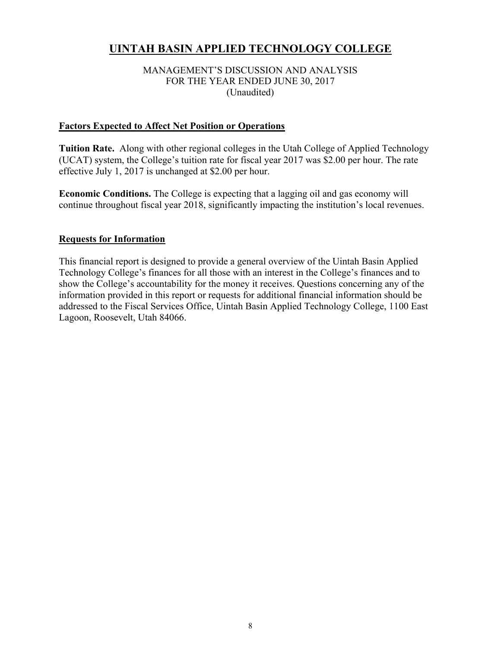#### MANAGEMENT'S DISCUSSION AND ANALYSIS FOR THE YEAR ENDED JUNE 30, 2017 (Unaudited)

#### **Factors Expected to Affect Net Position or Operations**

**Tuition Rate.** Along with other regional colleges in the Utah College of Applied Technology (UCAT) system, the College's tuition rate for fiscal year 2017 was \$2.00 per hour. The rate effective July 1, 2017 is unchanged at \$2.00 per hour.

**Economic Conditions.** The College is expecting that a lagging oil and gas economy will continue throughout fiscal year 2018, significantly impacting the institution's local revenues.

#### **Requests for Information**

This financial report is designed to provide a general overview of the Uintah Basin Applied Technology College's finances for all those with an interest in the College's finances and to show the College's accountability for the money it receives. Questions concerning any of the information provided in this report or requests for additional financial information should be addressed to the Fiscal Services Office, Uintah Basin Applied Technology College, 1100 East Lagoon, Roosevelt, Utah 84066.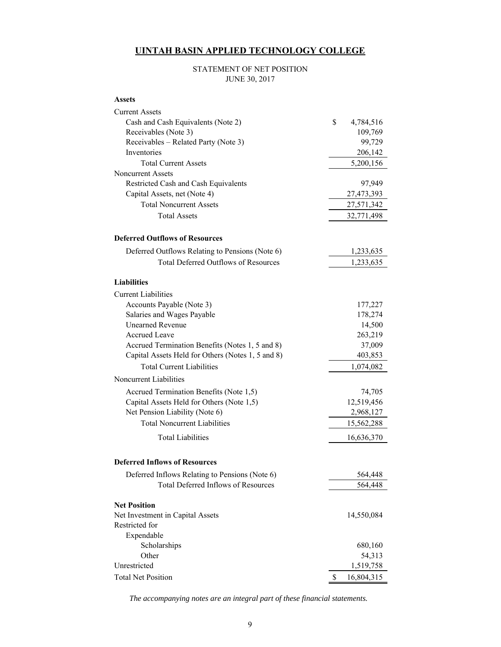#### STATEMENT OF NET POSITION JUNE 30, 2017

#### **Assets**

| <b>Current Assets</b>                             |                  |
|---------------------------------------------------|------------------|
| Cash and Cash Equivalents (Note 2)                | \$<br>4,784,516  |
| Receivables (Note 3)                              | 109,769          |
| Receivables - Related Party (Note 3)              | 99,729           |
| Inventories                                       | 206,142          |
| <b>Total Current Assets</b>                       | 5,200,156        |
| <b>Noncurrent Assets</b>                          |                  |
| Restricted Cash and Cash Equivalents              | 97,949           |
| Capital Assets, net (Note 4)                      | 27,473,393       |
| <b>Total Noncurrent Assets</b>                    | 27,571,342       |
| <b>Total Assets</b>                               | 32,771,498       |
|                                                   |                  |
| <b>Deferred Outflows of Resources</b>             |                  |
| Deferred Outflows Relating to Pensions (Note 6)   | 1,233,635        |
| <b>Total Deferred Outflows of Resources</b>       | 1,233,635        |
|                                                   |                  |
| <b>Liabilities</b>                                |                  |
| <b>Current Liabilities</b>                        |                  |
| Accounts Payable (Note 3)                         | 177,227          |
| Salaries and Wages Payable                        | 178,274          |
| <b>Unearned Revenue</b>                           | 14,500           |
| <b>Accrued Leave</b>                              | 263,219          |
| Accrued Termination Benefits (Notes 1, 5 and 8)   | 37,009           |
| Capital Assets Held for Others (Notes 1, 5 and 8) | 403,853          |
| <b>Total Current Liabilities</b>                  | 1,074,082        |
| Noncurrent Liabilities                            |                  |
| Accrued Termination Benefits (Note 1,5)           | 74,705           |
| Capital Assets Held for Others (Note 1,5)         | 12,519,456       |
| Net Pension Liability (Note 6)                    | 2,968,127        |
| <b>Total Noncurrent Liabilities</b>               | 15,562,288       |
| <b>Total Liabilities</b>                          | 16,636,370       |
|                                                   |                  |
| <b>Deferred Inflows of Resources</b>              |                  |
| Deferred Inflows Relating to Pensions (Note 6)    | 564,448          |
| <b>Total Deferred Inflows of Resources</b>        | 564,448          |
|                                                   |                  |
| <b>Net Position</b>                               |                  |
| Net Investment in Capital Assets                  | 14,550,084       |
| Restricted for                                    |                  |
| Expendable                                        |                  |
| Scholarships                                      | 680,160          |
| Other                                             | 54,313           |
| Unrestricted                                      | 1,519,758        |
| <b>Total Net Position</b>                         | \$<br>16,804,315 |

*The accompanying notes are an integral part of these financial statements.*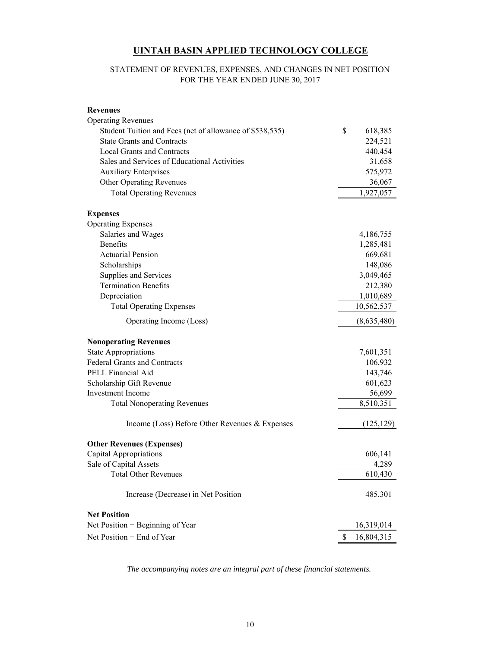#### STATEMENT OF REVENUES, EXPENSES, AND CHANGES IN NET POSITION FOR THE YEAR ENDED JUNE 30, 2017

| Revenues                                                 |                  |
|----------------------------------------------------------|------------------|
| <b>Operating Revenues</b>                                |                  |
| Student Tuition and Fees (net of allowance of \$538,535) | \$<br>618,385    |
| <b>State Grants and Contracts</b>                        | 224,521          |
| <b>Local Grants and Contracts</b>                        | 440,454          |
| Sales and Services of Educational Activities             | 31,658           |
| <b>Auxiliary Enterprises</b>                             | 575,972          |
| Other Operating Revenues                                 | 36,067           |
| <b>Total Operating Revenues</b>                          | 1,927,057        |
| <b>Expenses</b>                                          |                  |
| <b>Operating Expenses</b>                                |                  |
| Salaries and Wages                                       | 4,186,755        |
| <b>Benefits</b>                                          | 1,285,481        |
| <b>Actuarial Pension</b>                                 | 669,681          |
| Scholarships                                             | 148,086          |
| Supplies and Services                                    | 3,049,465        |
| <b>Termination Benefits</b>                              | 212,380          |
| Depreciation                                             | 1,010,689        |
| <b>Total Operating Expenses</b>                          | 10,562,537       |
| Operating Income (Loss)                                  | (8,635,480)      |
| <b>Nonoperating Revenues</b>                             |                  |
| <b>State Appropriations</b>                              | 7,601,351        |
| <b>Federal Grants and Contracts</b>                      | 106,932          |
| PELL Financial Aid                                       | 143,746          |
| Scholarship Gift Revenue                                 | 601,623          |
| Investment Income                                        | 56,699           |
| <b>Total Nonoperating Revenues</b>                       | 8,510,351        |
| Income (Loss) Before Other Revenues & Expenses           | (125, 129)       |
| <b>Other Revenues (Expenses)</b>                         |                  |
| <b>Capital Appropriations</b>                            | 606,141          |
| Sale of Capital Assets                                   | 4,289            |
| <b>Total Other Revenues</b>                              | 610,430          |
| Increase (Decrease) in Net Position                      | 485,301          |
| <b>Net Position</b>                                      |                  |
| Net Position - Beginning of Year                         | 16,319,014       |
| Net Position - End of Year                               | \$<br>16,804,315 |

*The accompanying notes are an integral part of these financial statements.*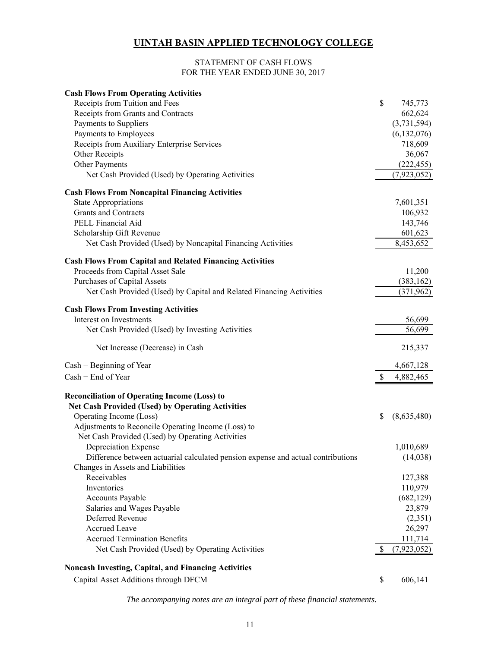#### STATEMENT OF CASH FLOWS FOR THE YEAR ENDED JUNE 30, 2017

| <b>Cash Flows From Operating Activities</b>                                      |    |               |
|----------------------------------------------------------------------------------|----|---------------|
| Receipts from Tuition and Fees                                                   | \$ | 745,773       |
| Receipts from Grants and Contracts                                               |    | 662,624       |
| Payments to Suppliers                                                            |    | (3,731,594)   |
| Payments to Employees                                                            |    | (6, 132, 076) |
| Receipts from Auxiliary Enterprise Services                                      |    | 718,609       |
| Other Receipts                                                                   |    | 36,067        |
| Other Payments                                                                   |    | (222, 455)    |
| Net Cash Provided (Used) by Operating Activities                                 |    | (7,923,052)   |
| <b>Cash Flows From Noncapital Financing Activities</b>                           |    |               |
| <b>State Appropriations</b>                                                      |    | 7,601,351     |
| <b>Grants and Contracts</b>                                                      |    | 106,932       |
| PELL Financial Aid                                                               |    | 143,746       |
| Scholarship Gift Revenue                                                         |    | 601,623       |
| Net Cash Provided (Used) by Noncapital Financing Activities                      |    | 8,453,652     |
| <b>Cash Flows From Capital and Related Financing Activities</b>                  |    |               |
| Proceeds from Capital Asset Sale                                                 |    | 11,200        |
| Purchases of Capital Assets                                                      |    | (383, 162)    |
| Net Cash Provided (Used) by Capital and Related Financing Activities             |    | (371,962)     |
| <b>Cash Flows From Investing Activities</b>                                      |    |               |
| Interest on Investments                                                          |    | 56,699        |
| Net Cash Provided (Used) by Investing Activities                                 |    | 56,699        |
| Net Increase (Decrease) in Cash                                                  |    | 215,337       |
| $Cash - Beginning of Year$                                                       |    | 4,667,128     |
| Cash - End of Year                                                               | S  | 4,882,465     |
| <b>Reconciliation of Operating Income (Loss) to</b>                              |    |               |
| <b>Net Cash Provided (Used) by Operating Activities</b>                          |    |               |
| Operating Income (Loss)                                                          | \$ | (8,635,480)   |
| Adjustments to Reconcile Operating Income (Loss) to                              |    |               |
| Net Cash Provided (Used) by Operating Activities                                 |    |               |
| Depreciation Expense                                                             |    | 1,010,689     |
| Difference between actuarial calculated pension expense and actual contributions |    | (14,038)      |
| Changes in Assets and Liabilities                                                |    |               |
| Receivables                                                                      |    | 127,388       |
| Inventories                                                                      |    | 110,979       |
| Accounts Payable                                                                 |    | (682, 129)    |
| Salaries and Wages Payable                                                       |    | 23,879        |
| Deferred Revenue                                                                 |    | (2,351)       |
| Accrued Leave                                                                    |    | 26,297        |
| <b>Accrued Termination Benefits</b>                                              |    | 111,714       |
| Net Cash Provided (Used) by Operating Activities                                 | S  | (7,923,052)   |
| <b>Noncash Investing, Capital, and Financing Activities</b>                      |    |               |
| Capital Asset Additions through DFCM                                             | \$ | 606,141       |
|                                                                                  |    |               |

*The accompanying notes are an integral part of these financial statements.*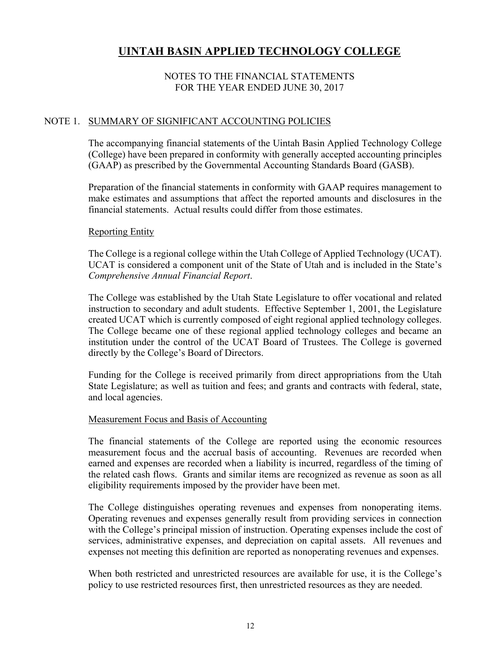#### NOTES TO THE FINANCIAL STATEMENTS FOR THE YEAR ENDED JUNE 30, 2017

#### NOTE 1. SUMMARY OF SIGNIFICANT ACCOUNTING POLICIES

The accompanying financial statements of the Uintah Basin Applied Technology College (College) have been prepared in conformity with generally accepted accounting principles (GAAP) as prescribed by the Governmental Accounting Standards Board (GASB).

Preparation of the financial statements in conformity with GAAP requires management to make estimates and assumptions that affect the reported amounts and disclosures in the financial statements. Actual results could differ from those estimates.

#### Reporting Entity

The College is a regional college within the Utah College of Applied Technology (UCAT). UCAT is considered a component unit of the State of Utah and is included in the State's *Comprehensive Annual Financial Report*.

The College was established by the Utah State Legislature to offer vocational and related instruction to secondary and adult students. Effective September 1, 2001, the Legislature created UCAT which is currently composed of eight regional applied technology colleges. The College became one of these regional applied technology colleges and became an institution under the control of the UCAT Board of Trustees. The College is governed directly by the College's Board of Directors.

Funding for the College is received primarily from direct appropriations from the Utah State Legislature; as well as tuition and fees; and grants and contracts with federal, state, and local agencies.

#### Measurement Focus and Basis of Accounting

The financial statements of the College are reported using the economic resources measurement focus and the accrual basis of accounting. Revenues are recorded when earned and expenses are recorded when a liability is incurred, regardless of the timing of the related cash flows. Grants and similar items are recognized as revenue as soon as all eligibility requirements imposed by the provider have been met.

The College distinguishes operating revenues and expenses from nonoperating items. Operating revenues and expenses generally result from providing services in connection with the College's principal mission of instruction. Operating expenses include the cost of services, administrative expenses, and depreciation on capital assets. All revenues and expenses not meeting this definition are reported as nonoperating revenues and expenses.

When both restricted and unrestricted resources are available for use, it is the College's policy to use restricted resources first, then unrestricted resources as they are needed.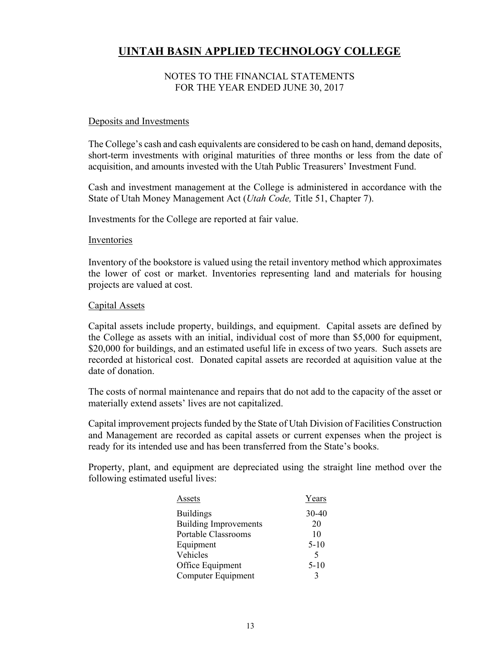#### NOTES TO THE FINANCIAL STATEMENTS FOR THE YEAR ENDED JUNE 30, 2017

#### Deposits and Investments

The College's cash and cash equivalents are considered to be cash on hand, demand deposits, short-term investments with original maturities of three months or less from the date of acquisition, and amounts invested with the Utah Public Treasurers' Investment Fund.

Cash and investment management at the College is administered in accordance with the State of Utah Money Management Act (*Utah Code,* Title 51, Chapter 7).

Investments for the College are reported at fair value.

#### Inventories

Inventory of the bookstore is valued using the retail inventory method which approximates the lower of cost or market. Inventories representing land and materials for housing projects are valued at cost.

#### Capital Assets

Capital assets include property, buildings, and equipment. Capital assets are defined by the College as assets with an initial, individual cost of more than \$5,000 for equipment, \$20,000 for buildings, and an estimated useful life in excess of two years. Such assets are recorded at historical cost. Donated capital assets are recorded at aquisition value at the date of donation.

The costs of normal maintenance and repairs that do not add to the capacity of the asset or materially extend assets' lives are not capitalized.

Capital improvement projects funded by the State of Utah Division of Facilities Construction and Management are recorded as capital assets or current expenses when the project is ready for its intended use and has been transferred from the State's books.

Property, plant, and equipment are depreciated using the straight line method over the following estimated useful lives:

| Assets                       | Years     |
|------------------------------|-----------|
| <b>Buildings</b>             | $30 - 40$ |
| <b>Building Improvements</b> | 20        |
| Portable Classrooms          | 10        |
| Equipment                    | $5 - 10$  |
| Vehicles                     | 5         |
| Office Equipment             | $5-10$    |
| Computer Equipment           | 3         |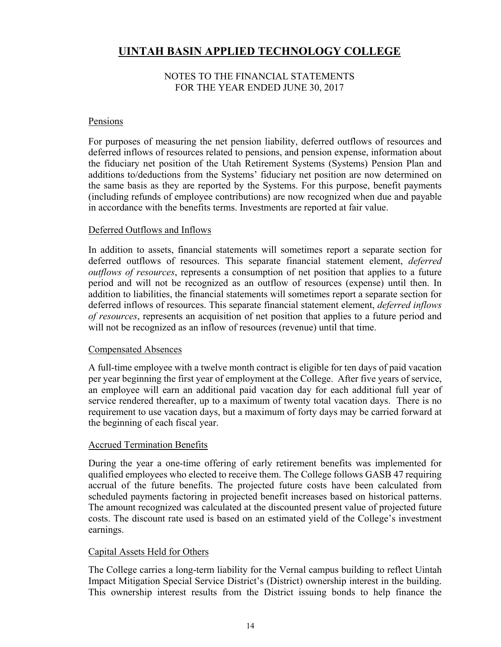#### NOTES TO THE FINANCIAL STATEMENTS FOR THE YEAR ENDED JUNE 30, 2017

#### **Pensions**

For purposes of measuring the net pension liability, deferred outflows of resources and deferred inflows of resources related to pensions, and pension expense, information about the fiduciary net position of the Utah Retirement Systems (Systems) Pension Plan and additions to/deductions from the Systems' fiduciary net position are now determined on the same basis as they are reported by the Systems. For this purpose, benefit payments (including refunds of employee contributions) are now recognized when due and payable in accordance with the benefits terms. Investments are reported at fair value.

#### Deferred Outflows and Inflows

In addition to assets, financial statements will sometimes report a separate section for deferred outflows of resources. This separate financial statement element, *deferred outflows of resources*, represents a consumption of net position that applies to a future period and will not be recognized as an outflow of resources (expense) until then. In addition to liabilities, the financial statements will sometimes report a separate section for deferred inflows of resources. This separate financial statement element, *deferred inflows of resources*, represents an acquisition of net position that applies to a future period and will not be recognized as an inflow of resources (revenue) until that time.

#### Compensated Absences

A full-time employee with a twelve month contract is eligible for ten days of paid vacation per year beginning the first year of employment at the College. After five years of service, an employee will earn an additional paid vacation day for each additional full year of service rendered thereafter, up to a maximum of twenty total vacation days. There is no requirement to use vacation days, but a maximum of forty days may be carried forward at the beginning of each fiscal year.

#### Accrued Termination Benefits

During the year a one-time offering of early retirement benefits was implemented for qualified employees who elected to receive them. The College follows GASB 47 requiring accrual of the future benefits. The projected future costs have been calculated from scheduled payments factoring in projected benefit increases based on historical patterns. The amount recognized was calculated at the discounted present value of projected future costs. The discount rate used is based on an estimated yield of the College's investment earnings.

#### Capital Assets Held for Others

The College carries a long-term liability for the Vernal campus building to reflect Uintah Impact Mitigation Special Service District's (District) ownership interest in the building. This ownership interest results from the District issuing bonds to help finance the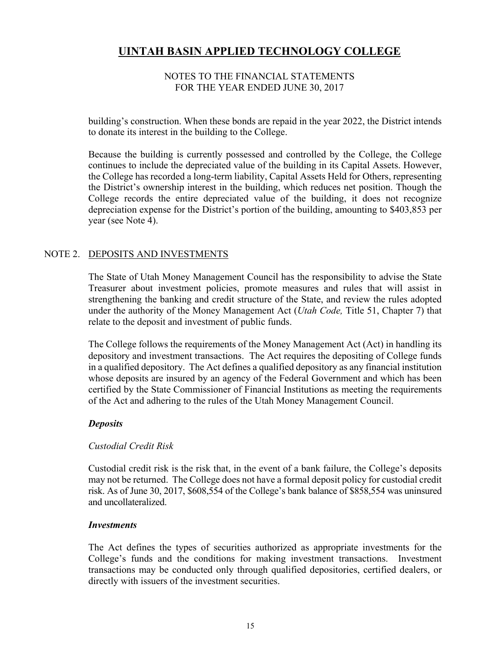#### NOTES TO THE FINANCIAL STATEMENTS FOR THE YEAR ENDED JUNE 30, 2017

building's construction. When these bonds are repaid in the year 2022, the District intends to donate its interest in the building to the College.

Because the building is currently possessed and controlled by the College, the College continues to include the depreciated value of the building in its Capital Assets. However, the College has recorded a long-term liability, Capital Assets Held for Others, representing the District's ownership interest in the building, which reduces net position. Though the College records the entire depreciated value of the building, it does not recognize depreciation expense for the District's portion of the building, amounting to \$403,853 per year (see Note 4).

#### NOTE 2. DEPOSITS AND INVESTMENTS

The State of Utah Money Management Council has the responsibility to advise the State Treasurer about investment policies, promote measures and rules that will assist in strengthening the banking and credit structure of the State, and review the rules adopted under the authority of the Money Management Act (*Utah Code,* Title 51, Chapter 7) that relate to the deposit and investment of public funds.

The College follows the requirements of the Money Management Act (Act) in handling its depository and investment transactions. The Act requires the depositing of College funds in a qualified depository. The Act defines a qualified depository as any financial institution whose deposits are insured by an agency of the Federal Government and which has been certified by the State Commissioner of Financial Institutions as meeting the requirements of the Act and adhering to the rules of the Utah Money Management Council.

#### *Deposits*

#### *Custodial Credit Risk*

Custodial credit risk is the risk that, in the event of a bank failure, the College's deposits may not be returned. The College does not have a formal deposit policy for custodial credit risk. As of June 30, 2017, \$608,554 of the College's bank balance of \$858,554 was uninsured and uncollateralized.

#### *Investments*

The Act defines the types of securities authorized as appropriate investments for the College's funds and the conditions for making investment transactions. Investment transactions may be conducted only through qualified depositories, certified dealers, or directly with issuers of the investment securities.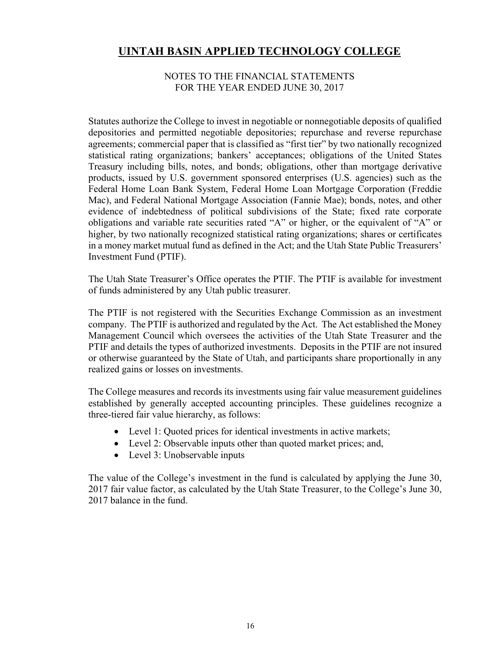#### NOTES TO THE FINANCIAL STATEMENTS FOR THE YEAR ENDED JUNE 30, 2017

Statutes authorize the College to invest in negotiable or nonnegotiable deposits of qualified depositories and permitted negotiable depositories; repurchase and reverse repurchase agreements; commercial paper that is classified as "first tier" by two nationally recognized statistical rating organizations; bankers' acceptances; obligations of the United States Treasury including bills, notes, and bonds; obligations, other than mortgage derivative products, issued by U.S. government sponsored enterprises (U.S. agencies) such as the Federal Home Loan Bank System, Federal Home Loan Mortgage Corporation (Freddie Mac), and Federal National Mortgage Association (Fannie Mae); bonds, notes, and other evidence of indebtedness of political subdivisions of the State; fixed rate corporate obligations and variable rate securities rated "A" or higher, or the equivalent of "A" or higher, by two nationally recognized statistical rating organizations; shares or certificates in a money market mutual fund as defined in the Act; and the Utah State Public Treasurers' Investment Fund (PTIF).

The Utah State Treasurer's Office operates the PTIF. The PTIF is available for investment of funds administered by any Utah public treasurer.

The PTIF is not registered with the Securities Exchange Commission as an investment company. The PTIF is authorized and regulated by the Act. The Act established the Money Management Council which oversees the activities of the Utah State Treasurer and the PTIF and details the types of authorized investments. Deposits in the PTIF are not insured or otherwise guaranteed by the State of Utah, and participants share proportionally in any realized gains or losses on investments.

The College measures and records its investments using fair value measurement guidelines established by generally accepted accounting principles. These guidelines recognize a three-tiered fair value hierarchy, as follows:

- Level 1: Quoted prices for identical investments in active markets;
- Level 2: Observable inputs other than quoted market prices; and,
- Level 3: Unobservable inputs

The value of the College's investment in the fund is calculated by applying the June 30, 2017 fair value factor, as calculated by the Utah State Treasurer, to the College's June 30, 2017 balance in the fund.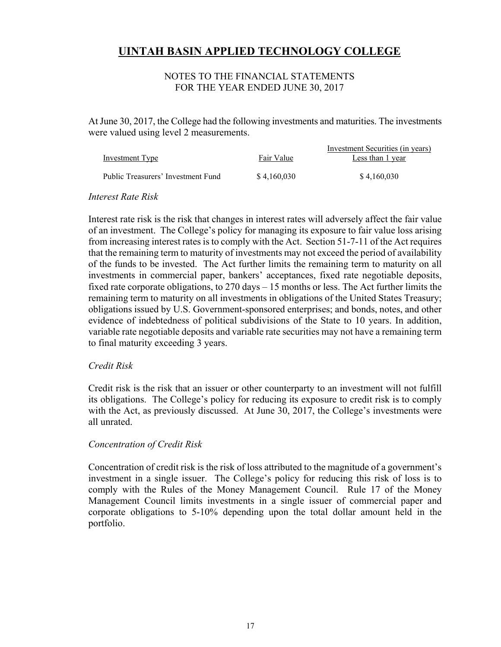#### NOTES TO THE FINANCIAL STATEMENTS FOR THE YEAR ENDED JUNE 30, 2017

At June 30, 2017, the College had the following investments and maturities. The investments were valued using level 2 measurements.

|                                    |             | Investment Securities (in years) |
|------------------------------------|-------------|----------------------------------|
| Investment Type                    | Fair Value  | Less than 1 year                 |
|                                    |             |                                  |
| Public Treasurers' Investment Fund | \$4,160,030 | \$4,160,030                      |
|                                    |             |                                  |

#### *Interest Rate Risk*

Interest rate risk is the risk that changes in interest rates will adversely affect the fair value of an investment. The College's policy for managing its exposure to fair value loss arising from increasing interest rates is to comply with the Act. Section 51-7-11 of the Act requires that the remaining term to maturity of investments may not exceed the period of availability of the funds to be invested. The Act further limits the remaining term to maturity on all investments in commercial paper, bankers' acceptances, fixed rate negotiable deposits, fixed rate corporate obligations, to 270 days – 15 months or less. The Act further limits the remaining term to maturity on all investments in obligations of the United States Treasury; obligations issued by U.S. Government-sponsored enterprises; and bonds, notes, and other evidence of indebtedness of political subdivisions of the State to 10 years. In addition, variable rate negotiable deposits and variable rate securities may not have a remaining term to final maturity exceeding 3 years.

#### *Credit Risk*

Credit risk is the risk that an issuer or other counterparty to an investment will not fulfill its obligations. The College's policy for reducing its exposure to credit risk is to comply with the Act, as previously discussed. At June 30, 2017, the College's investments were all unrated.

#### *Concentration of Credit Risk*

Concentration of credit risk is the risk of loss attributed to the magnitude of a government's investment in a single issuer. The College's policy for reducing this risk of loss is to comply with the Rules of the Money Management Council. Rule 17 of the Money Management Council limits investments in a single issuer of commercial paper and corporate obligations to 5-10% depending upon the total dollar amount held in the portfolio.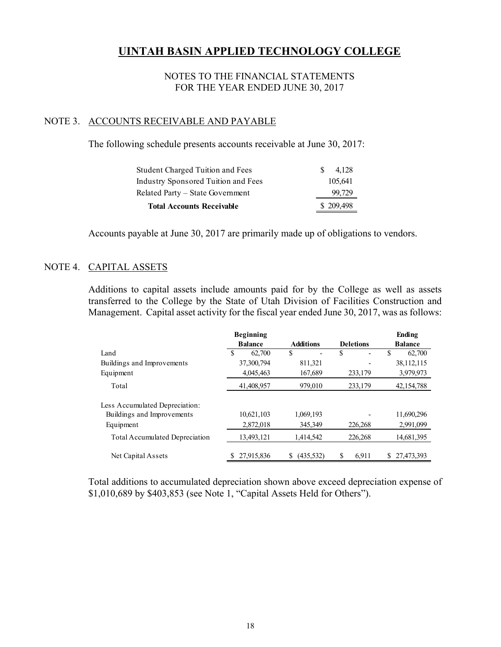#### NOTES TO THE FINANCIAL STATEMENTS FOR THE YEAR ENDED JUNE 30, 2017

#### NOTE 3. ACCOUNTS RECEIVABLE AND PAYABLE

The following schedule presents accounts receivable at June 30, 2017:

| Student Charged Tuition and Fees    | 4.128<br>S. |
|-------------------------------------|-------------|
| Industry Sponsored Tuition and Fees | 105,641     |
| Related Party – State Government    | 99.729      |
| <b>Total Accounts Receivable</b>    | \$209,498   |

Accounts payable at June 30, 2017 are primarily made up of obligations to vendors.

#### NOTE 4. CAPITAL ASSETS

Additions to capital assets include amounts paid for by the College as well as assets transferred to the College by the State of Utah Division of Facilities Construction and Management. Capital asset activity for the fiscal year ended June 30, 2017, was as follows:

|                                       | <b>Beginning</b> |                  |                  | Ending           |
|---------------------------------------|------------------|------------------|------------------|------------------|
|                                       | <b>Balance</b>   | <b>Additions</b> | <b>Deletions</b> | <b>Balance</b>   |
| Land                                  | 62,700           | \$               | \$               | \$<br>62,700     |
| Buildings and Improvements            | 37,300,794       | 811,321          |                  | 38,112,115       |
| Equipment                             | 4,045,463        | 167,689          | 233,179          | 3,979,973        |
| Total                                 | 41,408,957       | 979,010          | 233,179          | 42, 154, 788     |
| Less Accumulated Depreciation:        |                  |                  |                  |                  |
| Buildings and Improvements            | 10,621,103       | 1,069,193        |                  | 11,690,296       |
| Equipment                             | 2,872,018        | 345,349          | 226,268          | 2,991,099        |
| <b>Total Accumulated Depreciation</b> | 13,493,121       | 1,414,542        | 226,268          | 14,681,395       |
| Net Capital Assets                    | 27,915,836       | (435.532)<br>S   | S<br>6.911       | 27,473,393<br>S. |

Total additions to accumulated depreciation shown above exceed depreciation expense of \$1,010,689 by \$403,853 (see Note 1, "Capital Assets Held for Others").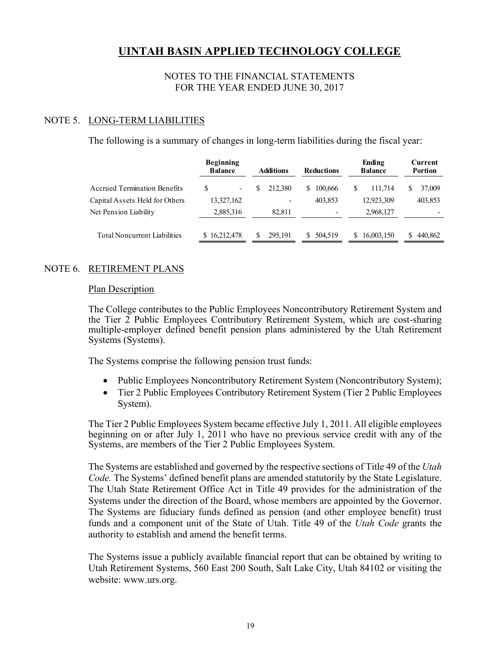#### NOTES TO THE FINANCIAL STATEMENTS FOR THE YEAR ENDED JUNE 30, 2017

#### NOTE 5. LONG-TERM LIABILITIES

The following is a summary of changes in long-term liabilities during the fiscal year:

|                                     | <b>Beginning</b><br><b>Balance</b> | <b>Additions</b> | <b>Reductions</b> | Ending<br><b>Balance</b> | Current<br><b>Portion</b> |
|-------------------------------------|------------------------------------|------------------|-------------------|--------------------------|---------------------------|
| <b>Accrued Termination Benefits</b> | S<br>-                             | 212,380          | 100,666<br>S.     | \$<br>111,714            | 37,009                    |
| Capital Assets Held for Others      | 13,327,162                         | -                | 403.853           | 12,923,309               | 403,853                   |
| Net Pension Liability               | 2,885,316                          | 82.811           |                   | 2,968,127                |                           |
| <b>Total Noncurrent Liabilities</b> | \$16,212,478                       | 295.191          | 504,519           | 16,003,150               | 440,862                   |

#### NOTE 6. RETIREMENT PLANS

#### Plan Description

The College contributes to the Public Employees Noncontributory Retirement System and the Tier 2 Public Employees Contributory Retirement System, which are cost-sharing multiple-employer defined benefit pension plans administered by the Utah Retirement Systems (Systems).

The Systems comprise the following pension trust funds:

- Public Employees Noncontributory Retirement System (Noncontributory System);
- Tier 2 Public Employees Contributory Retirement System (Tier 2 Public Employees System).

The Tier 2 Public Employees System became effective July 1, 2011. All eligible employees beginning on or after July 1, 2011 who have no previous service credit with any of the Systems, are members of the Tier 2 Public Employees System.

The Systems are established and governed by the respective sections of Title 49 of the *Utah Code.* The Systems' defined benefit plans are amended statutorily by the State Legislature. The Utah State Retirement Office Act in Title 49 provides for the administration of the Systems under the direction of the Board, whose members are appointed by the Governor. The Systems are fiduciary funds defined as pension (and other employee benefit) trust funds and a component unit of the State of Utah. Title 49 of the *Utah Code* grants the authority to establish and amend the benefit terms.

The Systems issue a publicly available financial report that can be obtained by writing to Utah Retirement Systems, 560 East 200 South, Salt Lake City, Utah 84102 or visiting the website: www.urs.org.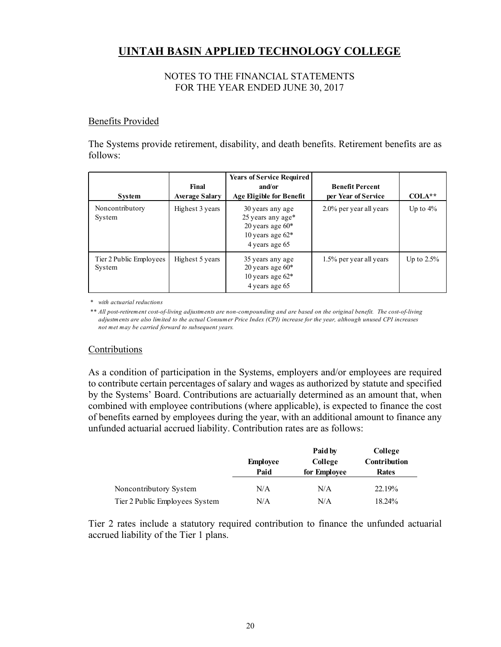#### NOTES TO THE FINANCIAL STATEMENTS FOR THE YEAR ENDED JUNE 30, 2017

#### Benefits Provided

The Systems provide retirement, disability, and death benefits. Retirement benefits are as follows:

| <b>System</b>                     | Final<br><b>Average Salary</b> | <b>Years of Service Required</b><br>and/or<br><b>Age Eligible for Benefit</b>                       | <b>Benefit Percent</b><br>per Year of Service | $COLA**$      |
|-----------------------------------|--------------------------------|-----------------------------------------------------------------------------------------------------|-----------------------------------------------|---------------|
| Noncontributory<br>System         | Highest 3 years                | 30 years any age<br>25 years any age*<br>20 years age $60*$<br>10 years age $62*$<br>4 years age 65 | 2.0% per year all years                       | Up to $4\%$   |
| Tier 2 Public Employees<br>System | Highest 5 years                | 35 years any age<br>20 years age $60*$<br>10 years age $62*$<br>4 years age 65                      | 1.5% per year all years                       | Up to $2.5\%$ |

*\* with actuarial reductions*

*\*\* All post-retirement cost-of-living adjustments are non-compounding and are based on the original benefit. The cost-of-living adjustments are also limited to the actual Consumer Price Index (CPI) increase for the year, although unused CPI increases not met may be carried forward to subsequent years.*

#### **Contributions**

As a condition of participation in the Systems, employers and/or employees are required to contribute certain percentages of salary and wages as authorized by statute and specified by the Systems' Board. Contributions are actuarially determined as an amount that, when combined with employee contributions (where applicable), is expected to finance the cost of benefits earned by employees during the year, with an additional amount to finance any unfunded actuarial accrued liability. Contribution rates are as follows:

|                                |                 | Paid by      | College      |
|--------------------------------|-----------------|--------------|--------------|
|                                | <b>Employee</b> | College      | Contribution |
|                                | Paid            | for Employee | Rates        |
| Noncontributory System         | N/A             | N/A          | 22.19%       |
| Tier 2 Public Employees System | N/A             | N/A          | 18.24%       |

Tier 2 rates include a statutory required contribution to finance the unfunded actuarial accrued liability of the Tier 1 plans.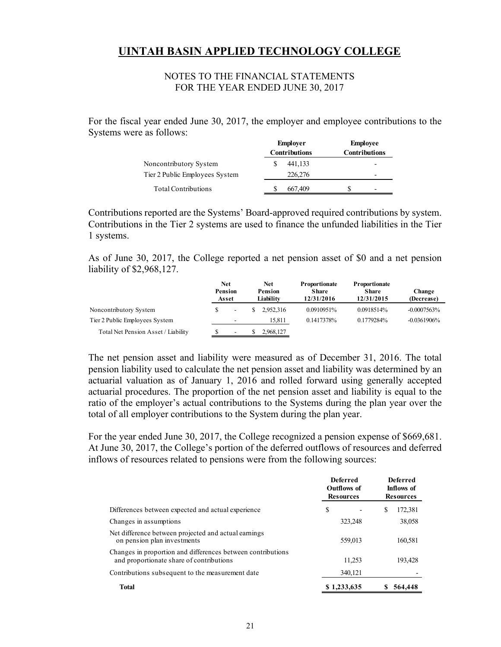NOTES TO THE FINANCIAL STATEMENTS FOR THE YEAR ENDED JUNE 30, 2017

For the fiscal year ended June 30, 2017, the employer and employee contributions to the Systems were as follows:

|                                | <b>Employer</b>      | <b>Employee</b>          |
|--------------------------------|----------------------|--------------------------|
|                                | <b>Contributions</b> | <b>Contributions</b>     |
| Noncontributory System         | 441,133              |                          |
| Tier 2 Public Employees System | 226,276              | $\overline{\phantom{0}}$ |
| <b>Total Contributions</b>     | 667,409              | $\overline{\phantom{0}}$ |

Contributions reported are the Systems' Board-approved required contributions by system. Contributions in the Tier 2 systems are used to finance the unfunded liabilities in the Tier 1 systems.

As of June 30, 2017, the College reported a net pension asset of \$0 and a net pension liability of \$2,968,127.

|                                     | <b>Net</b><br>Pension<br>Asset | <b>Net</b><br>Pension<br>Liabilitv | Proportionate<br><b>Share</b><br>12/31/2016 | Proportionate<br>Share<br>12/31/2015 | Change<br>(Decrease) |
|-------------------------------------|--------------------------------|------------------------------------|---------------------------------------------|--------------------------------------|----------------------|
| Noncontributory System              | $\sim$                         | 2.952.316                          | 0.0910951%                                  | 0.0918514%                           | $-0.0007563\%$       |
| Tier 2 Public Employees System      |                                | 15,811                             | 0.1417378%                                  | 0.1779284%                           | $-0.0361906%$        |
| Total Net Pension Asset / Liability | $\overline{\phantom{0}}$       | 2,968,127                          |                                             |                                      |                      |

The net pension asset and liability were measured as of December 31, 2016. The total pension liability used to calculate the net pension asset and liability was determined by an actuarial valuation as of January 1, 2016 and rolled forward using generally accepted actuarial procedures. The proportion of the net pension asset and liability is equal to the ratio of the employer's actual contributions to the Systems during the plan year over the total of all employer contributions to the System during the plan year.

For the year ended June 30, 2017, the College recognized a pension expense of \$669,681. At June 30, 2017, the College's portion of the deferred outflows of resources and deferred inflows of resources related to pensions were from the following sources:

|                                                                                                         | <b>Deferred</b><br>Outflows of<br><b>Resources</b> | <b>Deferred</b><br>Inflows of<br><b>Resources</b> |  |
|---------------------------------------------------------------------------------------------------------|----------------------------------------------------|---------------------------------------------------|--|
| Differences between expected and actual experience                                                      | \$                                                 | 172,381<br>\$                                     |  |
| Changes in assumptions                                                                                  | 323,248                                            | 38,058                                            |  |
| Net difference between projected and actual earnings<br>on pension plan investments                     | 559,013                                            | 160,581                                           |  |
| Changes in proportion and differences between contributions<br>and proportionate share of contributions | 11,253                                             | 193,428                                           |  |
| Contributions subsequent to the measurement date                                                        | 340,121                                            |                                                   |  |
| Total                                                                                                   | \$1,233,635                                        | 564,448                                           |  |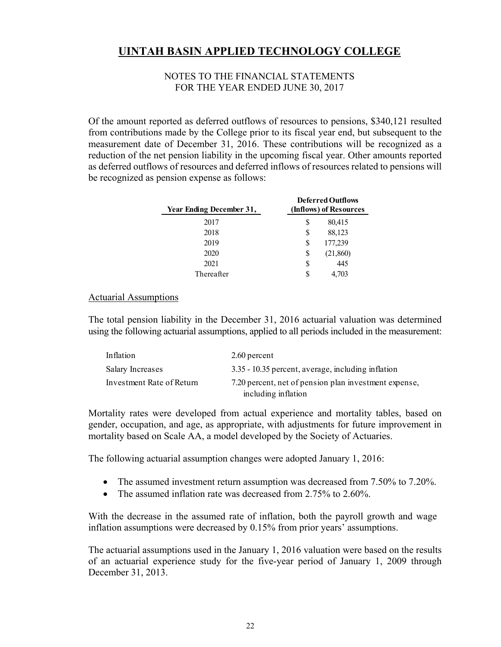#### NOTES TO THE FINANCIAL STATEMENTS FOR THE YEAR ENDED JUNE 30, 2017

Of the amount reported as deferred outflows of resources to pensions, \$340,121 resulted from contributions made by the College prior to its fiscal year end, but subsequent to the measurement date of December 31, 2016. These contributions will be recognized as a reduction of the net pension liability in the upcoming fiscal year. Other amounts reported as deferred outflows of resources and deferred inflows of resources related to pensions will be recognized as pension expense as follows:

| Year Ending December 31, |   | <b>Deferred Outflows</b><br>(Inflows) of Resources |
|--------------------------|---|----------------------------------------------------|
| 2017                     | S | 80,415                                             |
| 2018                     | S | 88,123                                             |
| 2019                     | S | 177,239                                            |
| 2020                     | S | (21,860)                                           |
| 2021                     | S | 445                                                |
| Thereafter               |   | 4,703                                              |

#### Actuarial Assumptions

The total pension liability in the December 31, 2016 actuarial valuation was determined using the following actuarial assumptions, applied to all periods included in the measurement:

| Inflation                 | 2.60 percent                                                                 |
|---------------------------|------------------------------------------------------------------------------|
| Salary Increases          | 3.35 - 10.35 percent, average, including inflation                           |
| Investment Rate of Return | 7.20 percent, net of pension plan investment expense,<br>including inflation |

Mortality rates were developed from actual experience and mortality tables, based on gender, occupation, and age, as appropriate, with adjustments for future improvement in mortality based on Scale AA, a model developed by the Society of Actuaries.

The following actuarial assumption changes were adopted January 1, 2016:

- The assumed investment return assumption was decreased from 7.50% to 7.20%.
- The assumed inflation rate was decreased from 2.75% to 2.60%.

With the decrease in the assumed rate of inflation, both the payroll growth and wage inflation assumptions were decreased by 0.15% from prior years' assumptions.

The actuarial assumptions used in the January 1, 2016 valuation were based on the results of an actuarial experience study for the five-year period of January 1, 2009 through December 31, 2013.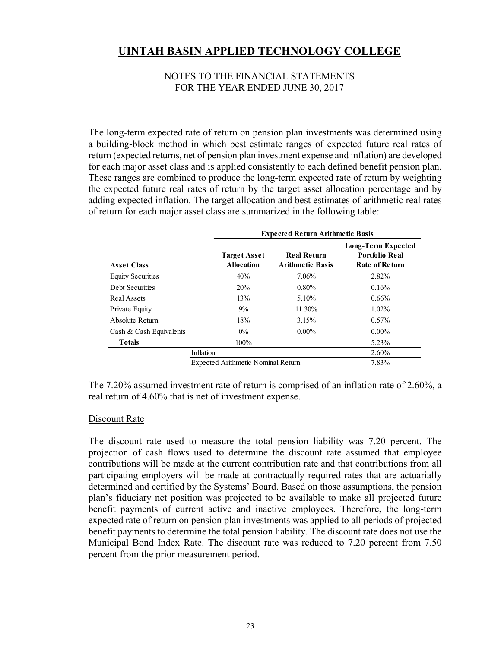#### NOTES TO THE FINANCIAL STATEMENTS FOR THE YEAR ENDED JUNE 30, 2017

The long-term expected rate of return on pension plan investments was determined using a building-block method in which best estimate ranges of expected future real rates of return (expected returns, net of pension plan investment expense and inflation) are developed for each major asset class and is applied consistently to each defined benefit pension plan. These ranges are combined to produce the long-term expected rate of return by weighting the expected future real rates of return by the target asset allocation percentage and by adding expected inflation. The target allocation and best estimates of arithmetic real rates of return for each major asset class are summarized in the following table:

|                          | <b>Expected Return Arithmetic Basis</b>   |                                               |                                                                      |  |  |  |  |
|--------------------------|-------------------------------------------|-----------------------------------------------|----------------------------------------------------------------------|--|--|--|--|
| <b>Asset Class</b>       | <b>Target Asset</b><br><b>Allocation</b>  | <b>Real Return</b><br><b>Arithmetic Basis</b> | Long-Term Expected<br><b>Portfolio Real</b><br><b>Rate of Return</b> |  |  |  |  |
| <b>Equity Securities</b> | 40%                                       | 7.06%                                         | $2.82\%$                                                             |  |  |  |  |
| Debt Securities          | 20%                                       | $0.80\%$                                      | 0.16%                                                                |  |  |  |  |
| Real Assets              | 13%                                       | $5.10\%$                                      | $0.66\%$                                                             |  |  |  |  |
| Private Equity           | $9\%$                                     | 11.30%                                        | $1.02\%$                                                             |  |  |  |  |
| Absolute Return          | 18%                                       | 3.15%                                         | $0.57\%$                                                             |  |  |  |  |
| Cash & Cash Equivalents  | $0\%$                                     | $0.00\%$                                      | $0.00\%$                                                             |  |  |  |  |
| <b>Totals</b>            | 100%                                      |                                               | 5.23%                                                                |  |  |  |  |
|                          | Inflation                                 |                                               | $2.60\%$                                                             |  |  |  |  |
|                          | <b>Expected Arithmetic Nominal Return</b> |                                               | 7.83%                                                                |  |  |  |  |

The 7.20% assumed investment rate of return is comprised of an inflation rate of 2.60%, a real return of 4.60% that is net of investment expense.

#### Discount Rate

The discount rate used to measure the total pension liability was 7.20 percent. The projection of cash flows used to determine the discount rate assumed that employee contributions will be made at the current contribution rate and that contributions from all participating employers will be made at contractually required rates that are actuarially determined and certified by the Systems' Board. Based on those assumptions, the pension plan's fiduciary net position was projected to be available to make all projected future benefit payments of current active and inactive employees. Therefore, the long-term expected rate of return on pension plan investments was applied to all periods of projected benefit payments to determine the total pension liability. The discount rate does not use the Municipal Bond Index Rate. The discount rate was reduced to 7.20 percent from 7.50 percent from the prior measurement period.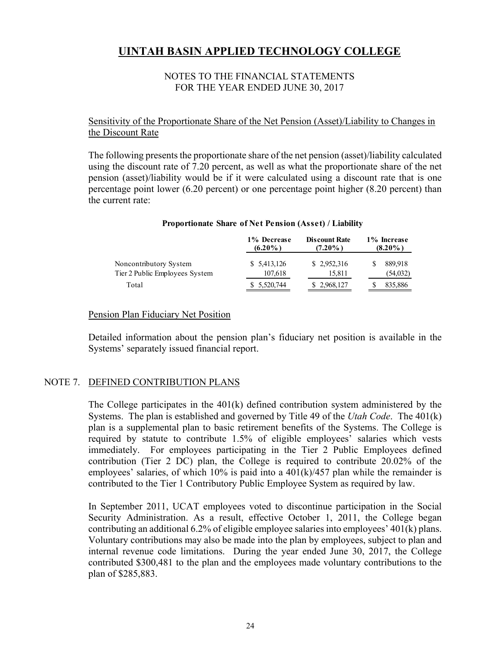#### NOTES TO THE FINANCIAL STATEMENTS FOR THE YEAR ENDED JUNE 30, 2017

#### Sensitivity of the Proportionate Share of the Net Pension (Asset)/Liability to Changes in the Discount Rate

The following presents the proportionate share of the net pension (asset)/liability calculated using the discount rate of 7.20 percent, as well as what the proportionate share of the net pension (asset)/liability would be if it were calculated using a discount rate that is one percentage point lower (6.20 percent) or one percentage point higher (8.20 percent) than the current rate:

|                                | 1% Decrease | <b>Discount Rate</b> | 1% Increase |  |  |
|--------------------------------|-------------|----------------------|-------------|--|--|
|                                | $(6.20\%)$  | $(7.20\%)$           | $(8.20\%)$  |  |  |
| Noncontributory System         | \$5,413,126 | \$2,952,316          | 889.918     |  |  |
| Tier 2 Public Employees System | 107,618     | 15.811               | (54, 032)   |  |  |
| Total                          | \$5,520,744 | 2,968,127            | 835,886     |  |  |

#### **Proportionate Share of Net Pension (Asset) / Liability**

#### Pension Plan Fiduciary Net Position

Detailed information about the pension plan's fiduciary net position is available in the Systems' separately issued financial report.

#### NOTE 7. DEFINED CONTRIBUTION PLANS

The College participates in the 401(k) defined contribution system administered by the Systems. The plan is established and governed by Title 49 of the *Utah Code*. The 401(k) plan is a supplemental plan to basic retirement benefits of the Systems. The College is required by statute to contribute 1.5% of eligible employees' salaries which vests immediately. For employees participating in the Tier 2 Public Employees defined contribution (Tier 2 DC) plan, the College is required to contribute 20.02% of the employees' salaries, of which  $10\%$  is paid into a  $401(k)/457$  plan while the remainder is contributed to the Tier 1 Contributory Public Employee System as required by law.

In September 2011, UCAT employees voted to discontinue participation in the Social Security Administration. As a result, effective October 1, 2011, the College began contributing an additional 6.2% of eligible employee salaries into employees' 401(k) plans. Voluntary contributions may also be made into the plan by employees, subject to plan and internal revenue code limitations. During the year ended June 30, 2017, the College contributed \$300,481 to the plan and the employees made voluntary contributions to the plan of \$285,883.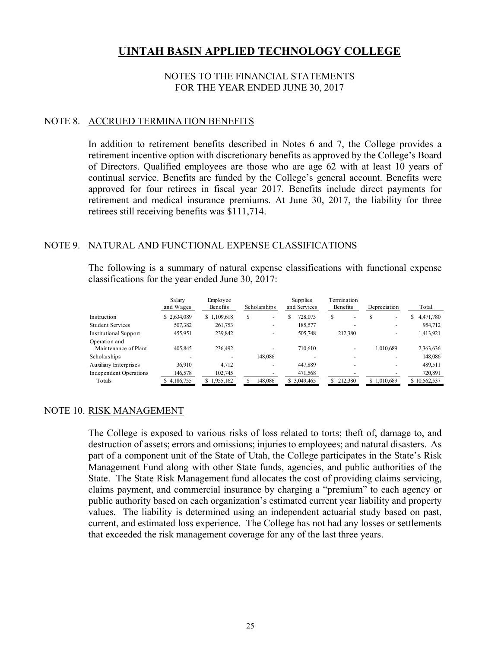#### NOTES TO THE FINANCIAL STATEMENTS FOR THE YEAR ENDED JUNE 30, 2017

#### NOTE 8. ACCRUED TERMINATION BENEFITS

In addition to retirement benefits described in Notes 6 and 7, the College provides a retirement incentive option with discretionary benefits as approved by the College's Board of Directors. Qualified employees are those who are age 62 with at least 10 years of continual service. Benefits are funded by the College's general account. Benefits were approved for four retirees in fiscal year 2017. Benefits include direct payments for retirement and medical insurance premiums. At June 30, 2017, the liability for three retirees still receiving benefits was \$111,714.

#### NOTE 9. NATURAL AND FUNCTIONAL EXPENSE CLASSIFICATIONS

The following is a summary of natural expense classifications with functional expense classifications for the year ended June 30, 2017:

|                               | Salary<br>and Wages | Employee<br>Benefits | Scholarships | Supplies<br>and Services | Termination<br>Benefits | Depreciation | Total           |
|-------------------------------|---------------------|----------------------|--------------|--------------------------|-------------------------|--------------|-----------------|
| Instruction                   | \$2,634,089         | \$1,109,618          | \$           | \$<br>728,073            | S                       | S            | 4,471,780<br>\$ |
| <b>Student Services</b>       | 507,382             | 261,753              |              | 185,577                  |                         |              | 954,712         |
| <b>Institutional Support</b>  | 455,951             | 239,842              |              | 505,748                  | 212,380                 |              | 1,413,921       |
| Operation and                 |                     |                      |              |                          |                         |              |                 |
| Maintenance of Plant          | 405,845             | 236,492              |              | 710,610                  |                         | 1.010.689    | 2,363,636       |
| Scholarships                  |                     |                      | 148,086      |                          |                         |              | 148,086         |
| <b>Auxiliary Enterprises</b>  | 36.910              | 4.712                |              | 447,889                  |                         |              | 489,511         |
| <b>Independent Operations</b> | 146,578             | 102,745              |              | 471,568                  |                         |              | 720,891         |
| Totals                        | 4,186,755           | \$1,955,162          | 148,086      | \$ 3,049,465             | 212,380                 | \$1,010,689  | \$10,562,537    |

#### NOTE 10. RISK MANAGEMENT

The College is exposed to various risks of loss related to torts; theft of, damage to, and destruction of assets; errors and omissions; injuries to employees; and natural disasters. As part of a component unit of the State of Utah, the College participates in the State's Risk Management Fund along with other State funds, agencies, and public authorities of the State. The State Risk Management fund allocates the cost of providing claims servicing, claims payment, and commercial insurance by charging a "premium" to each agency or public authority based on each organization's estimated current year liability and property values. The liability is determined using an independent actuarial study based on past, current, and estimated loss experience. The College has not had any losses or settlements that exceeded the risk management coverage for any of the last three years.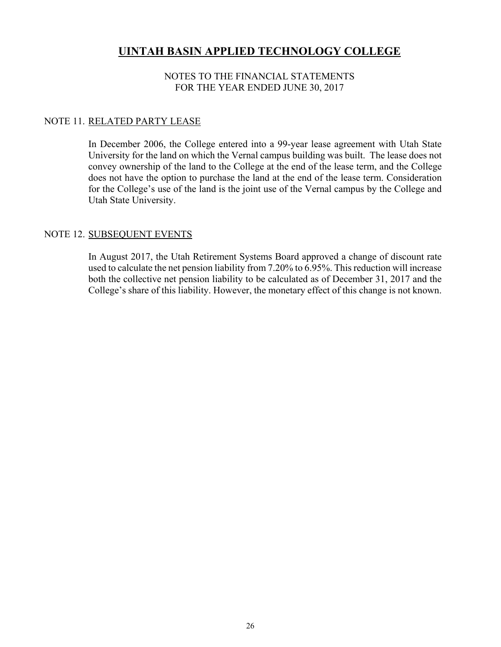#### NOTES TO THE FINANCIAL STATEMENTS FOR THE YEAR ENDED JUNE 30, 2017

#### NOTE 11. RELATED PARTY LEASE

In December 2006, the College entered into a 99-year lease agreement with Utah State University for the land on which the Vernal campus building was built. The lease does not convey ownership of the land to the College at the end of the lease term, and the College does not have the option to purchase the land at the end of the lease term. Consideration for the College's use of the land is the joint use of the Vernal campus by the College and Utah State University.

#### NOTE 12. SUBSEQUENT EVENTS

In August 2017, the Utah Retirement Systems Board approved a change of discount rate used to calculate the net pension liability from 7.20% to 6.95%. This reduction will increase both the collective net pension liability to be calculated as of December 31, 2017 and the College's share of this liability. However, the monetary effect of this change is not known.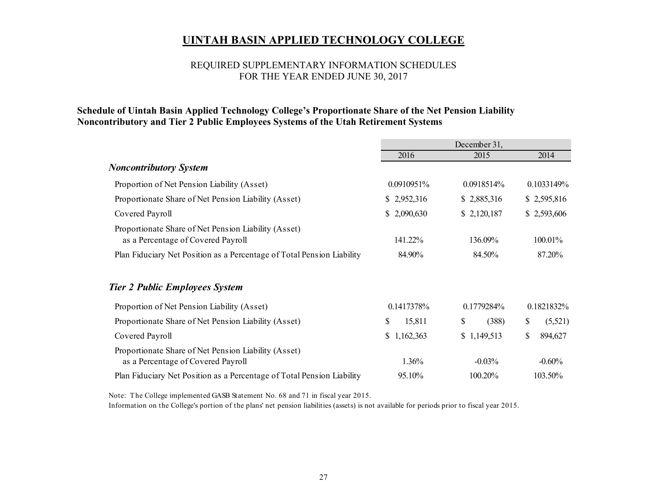#### REQUIRED SUPPLEMENTARY INFORMATION SCHEDULES FOR THE YEAR ENDED JUNE 30, 2017

#### **Schedule of Uintah Basin Applied Technology College's Proportionate Share of the Net Pension Liability Noncontributory and Tier 2 Public Employees Systems of the Utah Retirement Systems**

|                                                                                            | December 31, |             |               |  |  |  |
|--------------------------------------------------------------------------------------------|--------------|-------------|---------------|--|--|--|
|                                                                                            | 2016         | 2015        | 2014          |  |  |  |
| <b>Noncontributory System</b>                                                              |              |             |               |  |  |  |
| Proportion of Net Pension Liability (Asset)                                                | 0.0910951%   | 0.0918514%  | 0.1033149%    |  |  |  |
| Proportionate Share of Net Pension Liability (Asset)                                       | \$2,952,316  | \$2,885,316 | \$2,595,816   |  |  |  |
| Covered Payroll                                                                            | \$2,090,630  | \$2,120,187 | \$2,593,606   |  |  |  |
| Proportionate Share of Net Pension Liability (Asset)<br>as a Percentage of Covered Payroll | 141.22%      | 136.09%     | 100.01%       |  |  |  |
| Plan Fiduciary Net Position as a Percentage of Total Pension Liability                     | 84.90%       | 84.50%      | 87.20%        |  |  |  |
| <b>Tier 2 Public Employees System</b>                                                      |              |             |               |  |  |  |
| Proportion of Net Pension Liability (Asset)                                                | 0.1417378%   | 0.1779284%  | 0.1821832%    |  |  |  |
| Proportionate Share of Net Pension Liability (Asset)                                       | \$<br>15,811 | \$<br>(388) | \$<br>(5,521) |  |  |  |
| Covered Payroll                                                                            | \$1,162,363  | \$1,149,513 | \$<br>894,627 |  |  |  |
| Proportionate Share of Net Pension Liability (Asset)<br>as a Percentage of Covered Payroll | 1.36%        | $-0.03%$    | $-0.60%$      |  |  |  |
| Plan Fiduciary Net Position as a Percentage of Total Pension Liability                     | 95.10%       | 100.20%     | 103.50%       |  |  |  |

Note: The College implemented GASB Statement No. 68 and 71 in fiscal year 2015.

Information on the College's portion of the plans' net pension liabilities (assets) is not available for periods prior to fiscal year 2015.